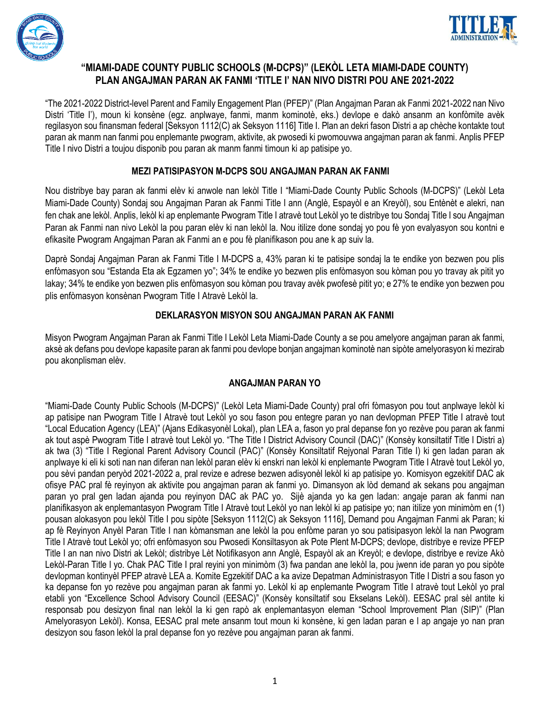



### **"MIAMI-DADE COUNTY PUBLIC SCHOOLS (M-DCPS)" (LEKÒL LETA MIAMI-DADE COUNTY) PLAN ANGAJMAN PARAN AK FANMI 'TITLE I' NAN NIVO DISTRI POU ANE 2021-2022**

"The 2021-2022 District-level Parent and Family Engagement Plan (PFEP)" (Plan Angajman Paran ak Fanmi 2021-2022 nan Nivo Distri 'Title I'), moun ki konsène (egz. anplwaye, fanmi, manm kominotè, eks.) devlope e dakò ansanm an konfòmite avèk regilasyon sou finansman federal [Seksyon 1112(C) ak Seksyon 1116] Title I. Plan an dekri fason Distri a ap chèche kontakte tout paran ak manm nan fanmi pou enplemante pwogram, aktivite, ak pwosedi ki pwomouvwa angajman paran ak fanmi. Anplis PFEP Title I nivo Distri a toujou disponib pou paran ak manm fanmi timoun ki ap patisipe yo.

#### **MEZI PATISIPASYON M-DCPS SOU ANGAJMAN PARAN AK FANMI**

Nou distribye bay paran ak fanmi elèv ki anwole nan lekòl Title I "Miami-Dade County Public Schools (M-DCPS)" (Lekòl Leta Miami-Dade County) Sondaj sou Angajman Paran ak Fanmi Title I ann (Anglè, Espayòl e an Kreyòl), sou Entènèt e alekri, nan fen chak ane lekòl. Anplis, lekòl ki ap enplemante Pwogram Title I atravè tout Lekòl yo te distribye tou Sondaj Title I sou Angajman Paran ak Fanmi nan nivo Lekòl la pou paran elèv ki nan lekòl la. Nou itilize done sondaj yo pou fè yon evalyasyon sou kontni e efikasite Pwogram Angajman Paran ak Fanmi an e pou fè planifikason pou ane k ap suiv la.

Daprè Sondaj Angajman Paran ak Fanmi Title I M-DCPS a, 43% paran ki te patisipe sondaj la te endike yon bezwen pou plis enfòmasyon sou "Estanda Eta ak Egzamen yo"; 34% te endike yo bezwen plis enfòmasyon sou kòman pou yo travay ak pitit yo lakay; 34% te endike yon bezwen plis enfòmasyon sou kòman pou travay avèk pwofesè pitit yo; e 27% te endike yon bezwen pou plis enfòmasyon konsènan Pwogram Title I Atravè Lekòl la.

#### **DEKLARASYON MISYON SOU ANGAJMAN PARAN AK FANMI**

Misyon Pwogram Angajman Paran ak Fanmi Title I Lekòl Leta Miami-Dade County a se pou amelyore angajman paran ak fanmi, aksè ak defans pou devlope kapasite paran ak fanmi pou devlope bonjan angajman kominotè nan sipòte amelyorasyon ki mezirab pou akonplisman elèv.

### **ANGAJMAN PARAN YO**

"Miami-Dade County Public Schools (M-DCPS)" (Lekòl Leta Miami-Dade County) pral ofri fòmasyon pou tout anplwaye lekòl ki ap patisipe nan Pwogram Title I Atravè tout Lekòl yo sou fason pou entegre paran yo nan devlopman PFEP Title I atravè tout "Local Education Agency (LEA)" (Ajans Edikasyonèl Lokal), plan LEA a, fason yo pral depanse fon yo rezève pou paran ak fanmi ak tout aspè Pwogram Title I atravè tout Lekòl yo. "The Title I District Advisory Council (DAC)" (Konsèy konsiltatif Title I Distri a) ak twa (3) "Title I Regional Parent Advisory Council (PAC)" (Konsèy Konsiltatif Rejyonal Paran Title I) ki gen ladan paran ak anplwaye ki eli ki soti nan nan diferan nan lekòl paran elèv ki enskri nan lekòl ki enplemante Pwogram Title I Atravè tout Lekòl yo, pou sèvi pandan peryòd 2021-2022 a, pral revize e adrese bezwen adisyonèl lekòl ki ap patisipe yo. Komisyon egzekitif DAC ak ofisye PAC pral fè reyinyon ak aktivite pou angajman paran ak fanmi yo. Dimansyon ak lòd demand ak sekans pou angajman paran yo pral gen ladan ajanda pou reyinyon DAC ak PAC yo. Sijè ajanda yo ka gen ladan: angaje paran ak fanmi nan planifikasyon ak enplemantasyon Pwogram Title I Atravè tout Lekòl yo nan lekòl ki ap patisipe yo; nan itilize yon minimòm en (1) pousan alokasyon pou lekòl Title I pou sipòte [Seksyon 1112(C) ak Seksyon 1116], Demand pou Angajman Fanmi ak Paran; ki ap fè Reyinyon Anyèl Paran Title I nan kòmansman ane lekòl la pou enfòme paran yo sou patisipasyon lekòl la nan Pwogram Title I Atravè tout Lekòl yo; ofri enfòmasyon sou Pwosedi Konsiltasyon ak Pote Plent M-DCPS; devlope, distribye e revize PFEP Title I an nan nivo Distri ak Lekòl; distribye Lèt Notifikasyon ann Anglè, Espayòl ak an Kreyòl; e devlope, distribye e revize Akò Lekòl-Paran Title I yo. Chak PAC Title I pral reyini yon minimòm (3) fwa pandan ane lekòl la, pou jwenn ide paran yo pou sipòte devlopman kontinyèl PFEP atravè LEA a. Komite Egzekitif DAC a ka avize Depatman Administrasyon Title I Distri a sou fason yo ka depanse fon yo rezève pou angajman paran ak fanmi yo. Lekòl ki ap enplemante Pwogram Title I atravè tout Lekòl yo pral etabli yon "Excellence School Advisory Council (EESAC)" (Konsèy konsiltatif sou Ekselans Lekòl). EESAC pral sèl antite ki responsab pou desizyon final nan lekòl la ki gen rapò ak enplemantasyon eleman "School Improvement Plan (SIP)" (Plan Amelyorasyon Lekòl). Konsa, EESAC pral mete ansanm tout moun ki konsène, ki gen ladan paran e l ap angaje yo nan pran desizyon sou fason lekòl la pral depanse fon yo rezève pou angajman paran ak fanmi.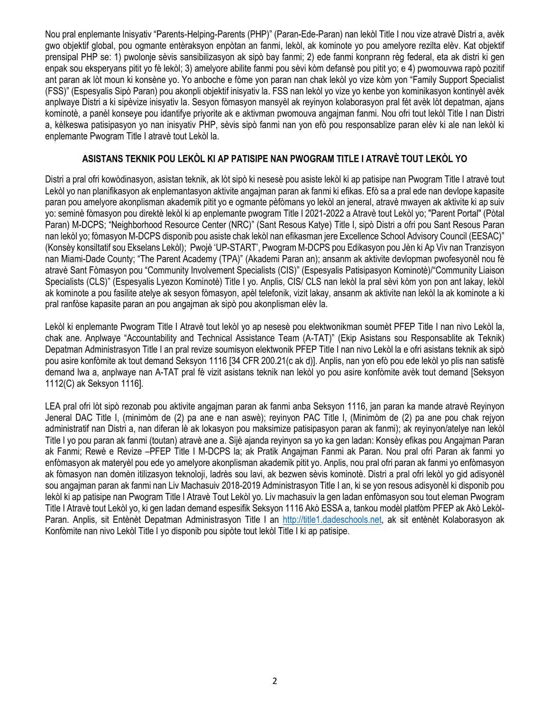Nou pral enplemante Inisyativ "Parents-Helping-Parents (PHP)" (Paran-Ede-Paran) nan lekòl Title I nou vize atravè Distri a, avèk gwo objektif global, pou ogmante entèraksyon enpòtan an fanmi, lekòl, ak kominote yo pou amelyore rezilta elèv. Kat objektif prensipal PHP se: 1) pwolonje sèvis sansibilizasyon ak sipò bay fanmi; 2) ede fanmi konprann règ federal, eta ak distri ki gen enpak sou eksperyans pitit yo fè lekòl; 3) amelyore abilite fanmi pou sèvi kòm defansè pou pitit yo; e 4) pwomouvwa rapò pozitif ant paran ak lòt moun ki konsène yo. Yo anboche e fòme yon paran nan chak lekòl yo vize kòm yon "Family Support Specialist (FSS)" (Espesyalis Sipò Paran) pou akonpli objektif inisyativ la. FSS nan lekòl yo vize yo kenbe yon kominikasyon kontinyèl avèk anplwaye Distri a ki sipèvize inisyativ la. Sesyon fòmasyon mansyèl ak reyinyon kolaborasyon pral fèt avèk lòt depatman, ajans kominotè, a panèl konseye pou idantifye priyorite ak e aktivman pwomouva angajman fanmi. Nou ofri tout lekòl Title I nan Distri a, kèlkeswa patisipasyon yo nan inisyativ PHP, sèvis sipò fanmi nan yon efò pou responsablize paran elèv ki ale nan lekòl ki enplemante Pwogram Title I atravè tout Lekòl la.

#### **ASISTANS TEKNIK POU LEKÒL KI AP PATISIPE NAN PWOGRAM TITLE I ATRAVÈ TOUT LEKÒL YO**

Distri a pral ofri kowòdinasyon, asistan teknik, ak lòt sipò ki nesesè pou asiste lekòl ki ap patisipe nan Pwogram Title I atravè tout Lekòl yo nan planifikasyon ak enplemantasyon aktivite angajman paran ak fanmi ki efikas. Efò sa a pral ede nan devlope kapasite paran pou amelyore akonplisman akademik pitit yo e ogmante pèfòmans yo lekòl an jeneral, atravè mwayen ak aktivite ki ap suiv yo: seminè fòmasyon pou direktè lekòl ki ap enplemante pwogram Title I 2021-2022 a Atravè tout Lekòl yo; "Parent Portal" (Pòtal Paran) M-DCPS; "Neighborhood Resource Center (NRC)" (Sant Resous Katye) Title I, sipò Distri a ofri pou Sant Resous Paran nan lekòl yo; fòmasyon M-DCPS disponib pou asiste chak lekòl nan efikasman jere Excellence School Advisory Council (EESAC)" (Konsèy konsiltatif sou Ekselans Lekòl); Pwojè 'UP-START', Pwogram M-DCPS pou Edikasyon pou Jèn ki Ap Viv nan Tranzisyon nan Miami-Dade County; "The Parent Academy (TPA)" (Akademi Paran an); ansanm ak aktivite devlopman pwofesyonèl nou fè atravè Sant Fòmasyon pou "Community Involvement Specialists (CIS)" (Espesyalis Patisipasyon Kominotè)/"Community Liaison Specialists (CLS)" (Espesyalis Lyezon Kominotè) Title I yo. Anplis, CIS/ CLS nan lekòl la pral sèvi kòm yon pon ant lakay, lekòl ak kominote a pou fasilite atelye ak sesyon fòmasyon, apèl telefonik, vizit lakay, ansanm ak aktivite nan lekòl la ak kominote a ki pral ranfòse kapasite paran an pou angajman ak sipò pou akonplisman elèv la.

Lekòl ki enplemante Pwogram Title I Atravè tout lekòl yo ap nesesè pou elektwonikman soumèt PFEP Title I nan nivo Lekòl la, chak ane. Anplwaye "Accountability and Technical Assistance Team (A-TAT)" (Ekip Asistans sou Responsablite ak Teknik) Depatman Administrasyon Title I an pral revize soumisyon elektwonik PFEP Title I nan nivo Lekòl la e ofri asistans teknik ak sipò pou asire konfòmite ak tout demand Seksyon 1116 [34 CFR 200.21(c ak d)]. Anplis, nan yon efò pou ede lekòl yo plis nan satisfè demand lwa a, anplwaye nan A-TAT pral fè vizit asistans teknik nan lekòl yo pou asire konfòmite avèk tout demand [Seksyon 1112(C) ak Seksyon 1116].

LEA pral ofri lòt sipò rezonab pou aktivite angajman paran ak fanmi anba Seksyon 1116, jan paran ka mande atravè Reyinyon Jeneral DAC Title I, (minimòm de (2) pa ane e nan aswè); reyinyon PAC Title I, (Minimòm de (2) pa ane pou chak rejyon administratif nan Distri a, nan diferan lè ak lokasyon pou maksimize patisipasyon paran ak fanmi); ak reyinyon/atelye nan lekòl Title I yo pou paran ak fanmi (toutan) atravè ane a. Sijè ajanda reyinyon sa yo ka gen ladan: Konsèy efikas pou Angajman Paran ak Fanmi; Rewè e Revize –PFEP Title I M-DCPS la; ak Pratik Angajman Fanmi ak Paran. Nou pral ofri Paran ak fanmi yo enfòmasyon ak materyèl pou ede yo amelyore akonplisman akademik pitit yo. Anplis, nou pral ofri paran ak fanmi yo enfòmasyon ak fòmasyon nan domèn itilizasyon teknoloji, ladrès sou lavi, ak bezwen sèvis kominotè. Distri a pral ofri lekòl yo gid adisyonèl sou angajman paran ak fanmi nan Liv Machasuiv 2018-2019 Administrasyon Title I an, ki se yon resous adisyonèl ki disponib pou lekòl ki ap patisipe nan Pwogram Title I Atravè Tout Lekòl yo. Liv machasuiv la gen ladan enfòmasyon sou tout eleman Pwogram Title I Atravè tout Lekòl yo, ki gen ladan demand espesifik Seksyon 1116 Akò ESSA a, tankou modèl platfòm PFEP ak Akò Lekòl-Paran. Anplis, sit Entènèt Depatman Administrasyon Title I an [http://title1.dadeschools.net,](http://title1.dadeschools.net/) ak sit entènèt Kolaborasyon ak Konfòmite nan nivo Lekòl Title I yo disponib pou sipòte tout lekòl Title I ki ap patisipe.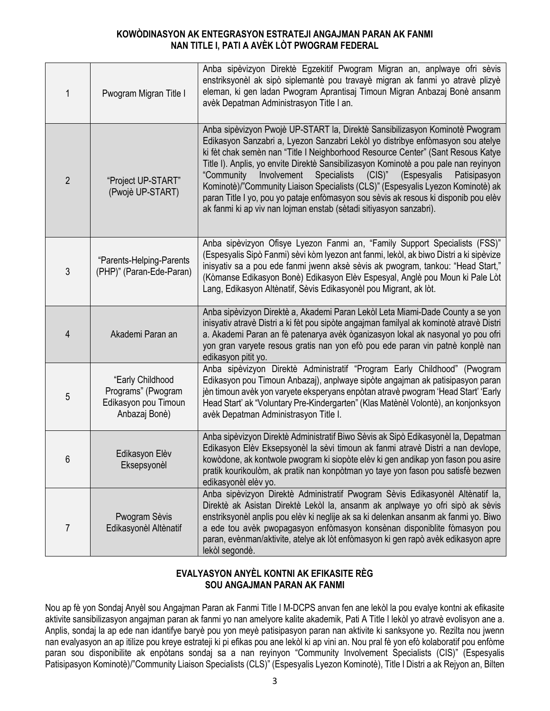#### **KOWÒDINASYON AK ENTEGRASYON ESTRATEJI ANGAJMAN PARAN AK FANMI NAN TITLE I, PATI A AVÈK LÒT PWOGRAM FEDERAL**

| 1              | Pwogram Migran Title I                                                          | Anba sipèvizyon Direktè Egzekitif Pwogram Migran an, anplwaye ofri sèvis<br>enstriksyonèl ak sipò siplemantè pou travayè migran ak fanmi yo atravè plizyè<br>eleman, ki gen ladan Pwogram Aprantisaj Timoun Migran Anbazaj Bonè ansanm<br>avèk Depatman Administrasyon Title I an.                                                                                                                                                                                                                                                                                                                                                                                         |
|----------------|---------------------------------------------------------------------------------|----------------------------------------------------------------------------------------------------------------------------------------------------------------------------------------------------------------------------------------------------------------------------------------------------------------------------------------------------------------------------------------------------------------------------------------------------------------------------------------------------------------------------------------------------------------------------------------------------------------------------------------------------------------------------|
| $\overline{2}$ | "Project UP-START"<br>(Pwojè UP-START)                                          | Anba sipèvizyon Pwojè UP-START la, Direktè Sansibilizasyon Kominotè Pwogram<br>Edikasyon Sanzabri a, Lyezon Sanzabri Lekòl yo distribye enfòmasyon sou atelye<br>ki fèt chak semèn nan "Title I Neighborhood Resource Center" (Sant Resous Katye<br>Title I). Anplis, yo envite Direktè Sansibilizasyon Kominotè a pou pale nan reyinyon<br>Involvement<br>Specialists (CIS)"<br>"Community<br>(Espesyalis<br>Patisipasyon<br>Kominotè)/"Community Liaison Specialists (CLS)" (Espesyalis Lyezon Kominotè) ak<br>paran Title I yo, pou yo pataje enfòmasyon sou sèvis ak resous ki disponib pou elèv<br>ak fanmi ki ap viv nan lojman enstab (sètadi sitiyasyon sanzabri). |
| 3              | "Parents-Helping-Parents<br>(PHP)" (Paran-Ede-Paran)                            | Anba sipèvizyon Ofisye Lyezon Fanmi an, "Family Support Specialists (FSS)"<br>(Espesyalis Sipò Fanmi) sèvi kòm lyezon ant fanmi, lekòl, ak biwo Distri a ki sipèvize<br>inisyativ sa a pou ede fanmi jwenn aksè sèvis ak pwogram, tankou: "Head Start,"<br>(Kòmanse Edikasyon Bonè) Edikasyon Elèv Espesyal, Anglè pou Moun ki Pale Lòt<br>Lang, Edikasyon Altènatif, Sèvis Edikasyonèl pou Migrant, ak lòt.                                                                                                                                                                                                                                                               |
| 4              | Akademi Paran an                                                                | Anba sipèvizyon Direktè a, Akademi Paran Lekòl Leta Miami-Dade County a se yon<br>inisyativ atravè Distri a ki fèt pou sipòte angajman familyal ak kominotè atravè Distri<br>a. Akademi Paran an fè patenarya avèk òganizasyon lokal ak nasyonal yo pou ofri<br>yon gran varyete resous gratis nan yon efò pou ede paran vin patnè konplè nan<br>edikasyon pitit yo.                                                                                                                                                                                                                                                                                                       |
| 5              | "Early Childhood<br>Programs" (Pwogram<br>Edikasyon pou Timoun<br>Anbazaj Bonè) | Anba sipèvizyon Direktè Administratif "Program Early Childhood" (Pwogram<br>Edikasyon pou Timoun Anbazaj), anplwaye sipòte angajman ak patisipasyon paran<br>jèn timoun avèk yon varyete eksperyans enpòtan atravè pwogram 'Head Start' 'Early<br>Head Start' ak "Voluntary Pre-Kindergarten" (Klas Matènèl Volontè), an konjonksyon<br>avèk Depatman Administrasyon Title I.                                                                                                                                                                                                                                                                                              |
| 6              | Edikasyon Elèv<br>Eksepsyonèl                                                   | Anba sipèvizyon Direktè Administratif Biwo Sèvis ak Sipò Edikasyonèl la, Depatman<br>Edikasyon Elèv Eksepsyonèl la sèvi timoun ak fanmi atravè Distri a nan devlope,<br>kowòdone, ak kontwole pwogram ki siopòte elèv ki gen andikap yon fason pou asire<br>pratik kourikoulòm, ak pratik nan konpòtman yo taye yon fason pou satisfè bezwen<br>edikasyonèl elèv yo.                                                                                                                                                                                                                                                                                                       |
| $\overline{7}$ | Pwogram Sèvis<br>Edikasyonèl Altènatif                                          | Anba sipèvizyon Direktè Administratif Pwogram Sèvis Edikasyonèl Altènatif la,<br>Direktè ak Asistan Direktè Lekòl la, ansanm ak anplwaye yo ofri sipò ak sèvis<br>enstriksyonèl anplis pou elèv ki neglije ak sa ki delenkan ansanm ak fanmi yo. Biwo<br>a ede tou avèk pwopagasyon enfòmasyon konsènan disponiblite fòmasyon pou<br>paran, evènman/aktivite, atelye ak lòt enfòmasyon ki gen rapò avèk edikasyon apre<br>lekòl segondè.                                                                                                                                                                                                                                   |

#### **EVALYASYON ANYÈL KONTNI AK EFIKASITE RÈG SOU ANGAJMAN PARAN AK FANMI**

Nou ap fè yon Sondaj Anyèl sou Angajman Paran ak Fanmi Title I M-DCPS anvan fen ane lekòl la pou evalye kontni ak efikasite aktivite sansibilizasyon angajman paran ak fanmi yo nan amelyore kalite akademik, Pati A Title I lekòl yo atravè evolisyon ane a. Anplis, sondaj la ap ede nan idantifye baryè pou yon meyè patisipasyon paran nan aktivite ki sanksyone yo. Rezilta nou jwenn nan evalyasyon an ap itilize pou kreye estrateji ki pi efikas pou ane lekòl ki ap vini an. Nou pral fè yon efò kolaboratif pou enfòme paran sou disponibilite ak enpòtans sondaj sa a nan reyinyon "Community Involvement Specialists (CIS)" (Espesyalis Patisipasyon Kominotè)/"Community Liaison Specialists (CLS)" (Espesyalis Lyezon Kominotè), Title I Distri a ak Rejyon an, Bilten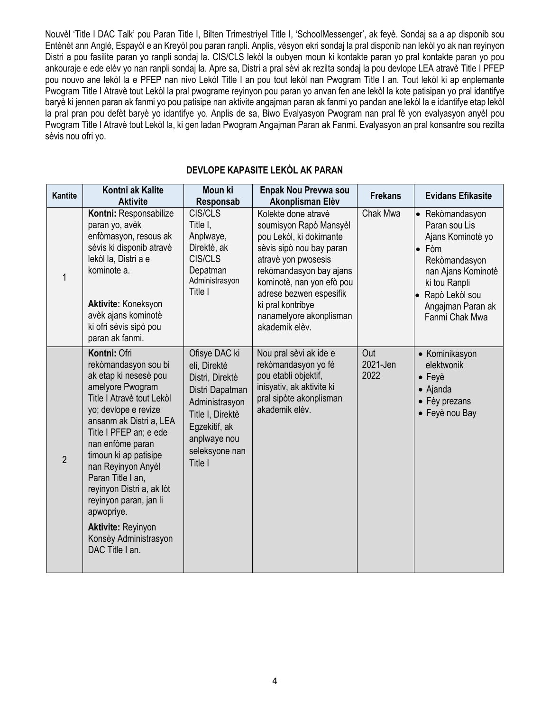Nouvèl 'Title I DAC Talk' pou Paran Title I, Bilten Trimestriyel Title I, 'SchoolMessenger', ak feyè. Sondaj sa a ap disponib sou Entènèt ann Anglè, Espayòl e an Kreyòl pou paran ranpli. Anplis, vèsyon ekri sondaj la pral disponib nan lekòl yo ak nan reyinyon Distri a pou fasilite paran yo ranpli sondaj la. CIS/CLS lekòl la oubyen moun ki kontakte paran yo pral kontakte paran yo pou ankouraje e ede elèv yo nan ranpli sondaj la. Apre sa, Distri a pral sèvi ak rezilta sondaj la pou devlope LEA atravè Title I PFEP pou nouvo ane lekòl la e PFEP nan nivo Lekòl Title I an pou tout lekòl nan Pwogram Title I an. Tout lekòl ki ap enplemante Pwogram Title I Atravè tout Lekòl la pral pwograme reyinyon pou paran yo anvan fen ane lekòl la kote patisipan yo pral idantifye baryè ki jennen paran ak fanmi yo pou patisipe nan aktivite angajman paran ak fanmi yo pandan ane lekòl la e idantifye etap lekòl la pral pran pou defèt baryè yo idantifye yo. Anplis de sa, Biwo Evalyasyon Pwogram nan pral fè yon evalyasyon anyèl pou Pwogram Title I Atravè tout Lekòl la, ki gen ladan Pwogram Angajman Paran ak Fanmi. Evalyasyon an pral konsantre sou rezilta sèvis nou ofri yo.

| <b>Kantite</b> | Kontni ak Kalite<br><b>Aktivite</b>                                                                                                                                                                                                                                                                                                                                                                                               | <b>Moun ki</b><br>Responsab                                                                                                                                             | <b>Enpak Nou Prevwa sou</b><br>Akonplisman Elèv                                                                                                                                                                                                                                  | <b>Frekans</b>          | <b>Evidans Efikasite</b>                                                                                                                                                                |
|----------------|-----------------------------------------------------------------------------------------------------------------------------------------------------------------------------------------------------------------------------------------------------------------------------------------------------------------------------------------------------------------------------------------------------------------------------------|-------------------------------------------------------------------------------------------------------------------------------------------------------------------------|----------------------------------------------------------------------------------------------------------------------------------------------------------------------------------------------------------------------------------------------------------------------------------|-------------------------|-----------------------------------------------------------------------------------------------------------------------------------------------------------------------------------------|
| $\mathbf{1}$   | Kontni: Responsabilize<br>paran yo, avèk<br>enfòmasyon, resous ak<br>sèvis ki disponib atravè<br>lekòl la, Distri a e<br>kominote a.<br>Aktivite: Koneksyon<br>avèk ajans kominotè<br>ki ofri sèvis sipò pou<br>paran ak fanmi.                                                                                                                                                                                                   | CIS/CLS<br>Title I,<br>Anplwaye,<br>Direktè, ak<br>CIS/CLS<br>Depatman<br>Administrasyon<br>Title I                                                                     | Kolekte done atravè<br>soumisyon Rapò Mansyèl<br>pou Lekòl, ki dokimante<br>sèvis sipò nou bay paran<br>atravè yon pwosesis<br>rekòmandasyon bay ajans<br>kominotè, nan yon efò pou<br>adrese bezwen espesifik<br>ki pral kontribye<br>nanamelyore akonplisman<br>akademik elèv. | Chak Mwa                | • Rekòmandasyon<br>Paran sou Lis<br>Ajans Kominotè yo<br>$\bullet$ Fòm<br>Rekòmandasyon<br>nan Ajans Kominotè<br>ki tou Ranpli<br>Rapò Lekòl sou<br>Angajman Paran ak<br>Fanmi Chak Mwa |
| $\overline{2}$ | Kontni: Ofri<br>rekòmandasyon sou bi<br>ak etap ki nesesè pou<br>amelyore Pwogram<br>Title I Atravè tout Lekòl<br>yo; devlope e revize<br>ansanm ak Distri a, LEA<br>Title I PFEP an; e ede<br>nan enfòme paran<br>timoun ki ap patisipe<br>nan Reyinyon Anyèl<br>Paran Title I an,<br>reyinyon Distri a, ak lòt<br>reyinyon paran, jan li<br>apwopriye.<br><b>Aktivite: Reyinyon</b><br>Konsèy Administrasyon<br>DAC Title I an. | Ofisye DAC ki<br>eli, Direktè<br>Distri, Direktè<br>Distri Dapatman<br>Administrasyon<br>Title I, Direktè<br>Egzekitif, ak<br>anplwaye nou<br>seleksyone nan<br>Title I | Nou pral sèvi ak ide e<br>rekòmandasyon yo fè<br>pou etabli objektif,<br>inisyativ, ak aktivite ki<br>pral sipòte akonplisman<br>akademik elèv.                                                                                                                                  | Out<br>2021-Jen<br>2022 | • Kominikasyon<br>elektwonik<br>$\bullet$ Feyè<br>• Ajanda<br>• Fèy prezans<br>• Feyè nou Bay                                                                                           |

#### **DEVLOPE KAPASITE LEKÒL AK PARAN**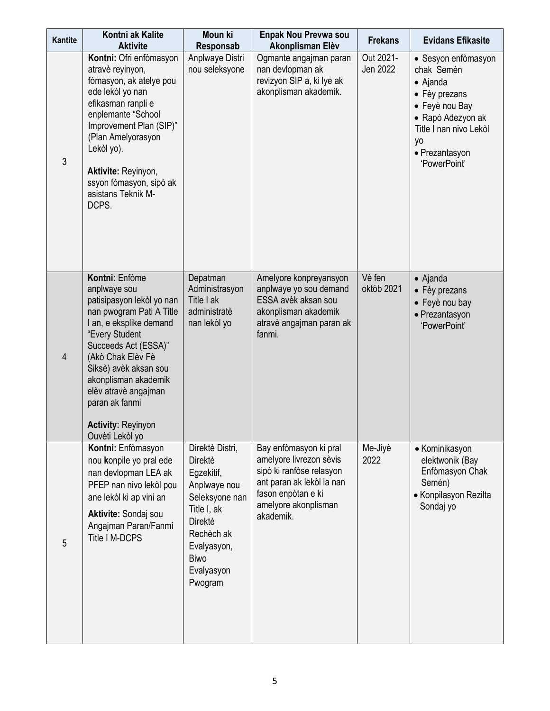| <b>Kantite</b> | Kontni ak Kalite<br><b>Aktivite</b>                                                                                                                                                                                                                                                                                          | Moun ki<br>Responsab                                                                                                                                                                    | <b>Enpak Nou Prevwa sou</b><br>Akonplisman Elèv                                                                                                                       | <b>Frekans</b>        | <b>Evidans Efikasite</b>                                                                                                                                                |
|----------------|------------------------------------------------------------------------------------------------------------------------------------------------------------------------------------------------------------------------------------------------------------------------------------------------------------------------------|-----------------------------------------------------------------------------------------------------------------------------------------------------------------------------------------|-----------------------------------------------------------------------------------------------------------------------------------------------------------------------|-----------------------|-------------------------------------------------------------------------------------------------------------------------------------------------------------------------|
| 3              | Kontni: Ofri enfòmasyon<br>atravè reyinyon,<br>fòmasyon, ak atelye pou<br>ede lekòl yo nan<br>efikasman ranpli e<br>enplemante "School<br>Improvement Plan (SIP)"<br>(Plan Amelyorasyon<br>Lekòl yo).<br>Aktivite: Reyinyon,<br>ssyon fòmasyon, sipò ak<br>asistans Teknik M-<br>DCPS.                                       | Anplwaye Distri<br>nou seleksyone                                                                                                                                                       | Ogmante angajman paran<br>nan devlopman ak<br>revizyon SIP a, ki lye ak<br>akonplisman akademik.                                                                      | Out 2021-<br>Jen 2022 | • Sesyon enfòmasyon<br>chak Semèn<br>• Ajanda<br>• Fèy prezans<br>• Feyè nou Bay<br>• Rapò Adezyon ak<br>Title I nan nivo Lekòl<br>yo<br>· Prezantasyon<br>'PowerPoint' |
| $\overline{4}$ | Kontni: Enfòme<br>anplwaye sou<br>patisipasyon lekòl yo nan<br>nan pwogram Pati A Title<br>I an, e eksplike demand<br>"Every Student<br>Succeeds Act (ESSA)"<br>(Akò Chak Elèv Fè<br>Siksè) avèk aksan sou<br>akonplisman akademik<br>elèv atravè angajman<br>paran ak fanmi<br><b>Activity: Reyinyon</b><br>Ouvèti Lekòl yo | Depatman<br>Administrasyon<br>Title I ak<br>administratè<br>nan lekòl yo                                                                                                                | Amelyore konpreyansyon<br>anplwaye yo sou demand<br>ESSA avèk aksan sou<br>akonplisman akademik<br>atravè angajman paran ak<br>fanmi.                                 | Vè fen<br>oktòb 2021  | $\bullet$ Ajanda<br>• Fèy prezans<br>• Feyè nou bay<br>· Prezantasyon<br>'PowerPoint'                                                                                   |
| 5              | Kontni: Enfòmasyon<br>nou konpile yo pral ede<br>nan devlopman LEA ak<br>PFEP nan nivo lekòl pou<br>ane lekòl ki ap vini an<br>Aktivite: Sondaj sou<br>Angajman Paran/Fanmi<br>Title I M-DCPS                                                                                                                                | Direktè Distri,<br><b>Direktè</b><br>Egzekitif,<br>Anplwaye nou<br>Seleksyone nan<br>Title I, ak<br><b>Direktè</b><br>Rechèch ak<br>Evalyasyon,<br><b>Biwo</b><br>Evalyasyon<br>Pwogram | Bay enfòmasyon ki pral<br>amelyore livrezon sèvis<br>sipò ki ranfòse relasyon<br>ant paran ak lekòl la nan<br>fason enpòtan e ki<br>amelyore akonplisman<br>akademik. | Me-Jiyè<br>2022       | • Kominikasyon<br>elektwonik (Bay<br>Enfòmasyon Chak<br>Semèn)<br>• Konpilasyon Rezilta<br>Sondaj yo                                                                    |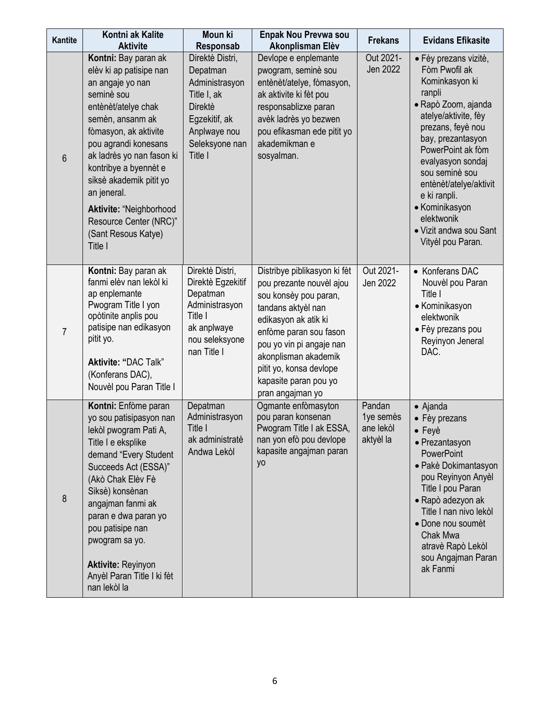| Kantite        | Kontni ak Kalite<br><b>Aktivite</b>                                                                                                                                                                                                                                                                                                                                  | Moun ki<br>Responsab                                                                                                                         | Enpak Nou Prevwa sou<br>Akonplisman Elèv                                                                                                                                                                                                                                              | <b>Frekans</b>                                | <b>Evidans Efikasite</b>                                                                                                                                                                                                                                                                                                                         |
|----------------|----------------------------------------------------------------------------------------------------------------------------------------------------------------------------------------------------------------------------------------------------------------------------------------------------------------------------------------------------------------------|----------------------------------------------------------------------------------------------------------------------------------------------|---------------------------------------------------------------------------------------------------------------------------------------------------------------------------------------------------------------------------------------------------------------------------------------|-----------------------------------------------|--------------------------------------------------------------------------------------------------------------------------------------------------------------------------------------------------------------------------------------------------------------------------------------------------------------------------------------------------|
| 6              | Kontni: Bay paran ak<br>elèv ki ap patisipe nan<br>an angaje yo nan<br>seminè sou<br>entènèt/atelye chak<br>semèn, ansanm ak<br>fòmasyon, ak aktivite<br>pou agrandi konesans<br>ak ladrès yo nan fason ki<br>kontribye a byennèt e<br>siksè akademik pitit yo<br>an jeneral.<br>Aktivite: "Neighborhood<br>Resource Center (NRC)"<br>(Sant Resous Katye)<br>Title I | Direktè Distri,<br>Depatman<br>Administrasyon<br>Title I, ak<br><b>Direktè</b><br>Egzekitif, ak<br>Anplwaye nou<br>Seleksyone nan<br>Title I | Devlope e enplemante<br>pwogram, seminè sou<br>entènèt/atelye, fòmasyon,<br>ak aktivite ki fèt pou<br>responsablizxe paran<br>avèk ladrès yo bezwen<br>pou efikasman ede pitit yo<br>akademikman e<br>sosyalman.                                                                      | Out 2021-<br>Jen 2022                         | • Fèy prezans vizitè,<br>Fòm Pwofil ak<br>Kominkasyon ki<br>ranpli<br>· Rapò Zoom, ajanda<br>atelye/aktivite, fèy<br>prezans, feyè nou<br>bay, prezantasyon<br>PowerPoint ak fòm<br>evalyasyon sondaj<br>sou seminè sou<br>entènèt/atelye/aktivit<br>e ki ranpli.<br>• Kominikasyon<br>elektwonik<br>• Vizit andwa sou Sant<br>Vityèl pou Paran. |
| $\overline{7}$ | Kontni: Bay paran ak<br>fanmi elèv nan lekòl ki<br>ap enplemante<br>Pwogram Title I yon<br>opòtinite anplis pou<br>patisipe nan edikasyon<br>pitit yo.<br>Aktivite: "DAC Talk"<br>(Konferans DAC),<br>Nouvèl pou Paran Title I                                                                                                                                       | Direktè Distri,<br>Direktè Egzekitif<br>Depatman<br>Administrasyon<br>Title I<br>ak anplwaye<br>nou seleksyone<br>nan Title I                | Distribye piblikasyon ki fèt<br>pou prezante nouvèl ajou<br>sou konsèy pou paran,<br>tandans aktyèl nan<br>edikasyon ak atik ki<br>enfòme paran sou fason<br>pou yo vin pi angaje nan<br>akonplisman akademik<br>pitit yo, konsa devlope<br>kapasite paran pou yo<br>pran angajman yo | Out 2021-<br>Jen 2022                         | • Konferans DAC<br>Nouvèl pou Paran<br>Title I<br>• Kominikasyon<br>elektwonik<br>• Fèy prezans pou<br>Reyinyon Jeneral<br>DAC.                                                                                                                                                                                                                  |
| 8              | Kontni: Enfòme paran<br>yo sou patisipasyon nan<br>lekòl pwogram Pati A,<br>Title I e eksplike<br>demand "Every Student<br>Succeeds Act (ESSA)"<br>(Akò Chak Elèv Fè<br>Siksè) konsènan<br>angajman fanmi ak<br>paran e dwa paran yo<br>pou patisipe nan<br>pwogram sa yo.<br><b>Aktivite: Reyinyon</b><br>Anyèl Paran Title I ki fèt<br>nan lekòl la                | Depatman<br>Administrasyon<br>Title I<br>ak administratè<br>Andwa Lekòl                                                                      | Ogmante enfòmasyton<br>pou paran konsenan<br>Pwogram Title I ak ESSA,<br>nan yon efò pou devlope<br>kapasite angajman paran<br>yo                                                                                                                                                     | Pandan<br>1ye semès<br>ane lekòl<br>aktyèl la | $\bullet$ Ajanda<br>• Fèy prezans<br>$\bullet$ Feyè<br>• Prezantasyon<br><b>PowerPoint</b><br>• Pakè Dokimantasyon<br>pou Reyinyon Anyèl<br>Title I pou Paran<br>• Rapò adezyon ak<br>Title I nan nivo lekòl<br>• Done nou soumèt<br>Chak Mwa<br>atravè Rapò Lekòl<br>sou Angajman Paran<br>ak Fanmi                                             |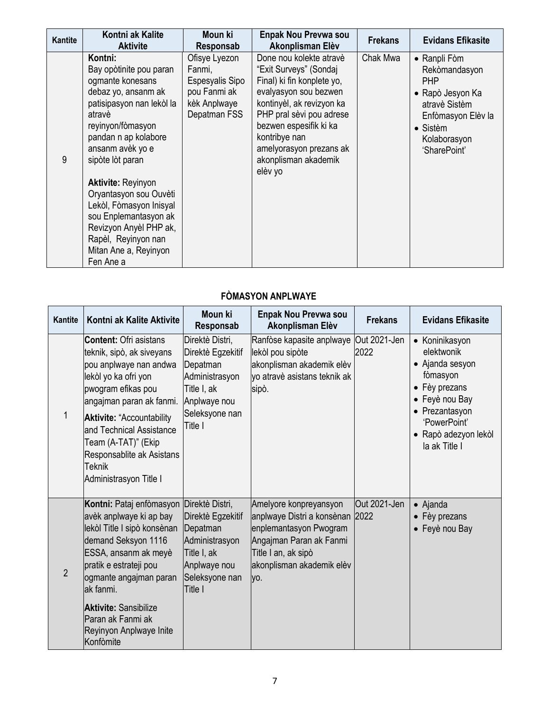| Kantite | Kontni ak Kalite<br><b>Aktivite</b>                                                                                                                                                                                                                                                                                                                                                                         | Moun ki<br>Responsab                                                                       | <b>Enpak Nou Prevwa sou</b><br>Akonplisman Elèv                                                                                                                                                                                                                            | <b>Frekans</b> | <b>Evidans Efikasite</b>                                                                                                                           |
|---------|-------------------------------------------------------------------------------------------------------------------------------------------------------------------------------------------------------------------------------------------------------------------------------------------------------------------------------------------------------------------------------------------------------------|--------------------------------------------------------------------------------------------|----------------------------------------------------------------------------------------------------------------------------------------------------------------------------------------------------------------------------------------------------------------------------|----------------|----------------------------------------------------------------------------------------------------------------------------------------------------|
| 9       | Kontni:<br>Bay opòtinite pou paran<br>ogmante konesans<br>debaz yo, ansanm ak<br>patisipasyon nan lekòl la<br>atravè<br>reyinyon/fòmasyon<br>pandan n ap kolabore<br>ansanm avèk yo e<br>sipòte lòt paran<br><b>Aktivite: Reyinyon</b><br>Oryantasyon sou Ouvèti<br>Lekòl, Fòmasyon Inisyal<br>sou Enplemantasyon ak<br>Revizyon Anyèl PHP ak,<br>Rapèl, Reyinyon nan<br>Mitan Ane a, Reyinyon<br>Fen Ane a | Ofisye Lyezon<br>Fanmi,<br>Espesyalis Sipo<br>pou Fanmi ak<br>kèk Anplwaye<br>Depatman FSS | Done nou kolekte atravè<br>"Exit Surveys" (Sondaj<br>Final) ki fin konplete yo,<br>evalyasyon sou bezwen<br>kontinyèl, ak revizyon ka<br>PHP pral sèvi pou adrese<br>bezwen espesifik ki ka<br>kontribye nan<br>amelyorasyon prezans ak<br>akonplisman akademik<br>elèv yo | Chak Mwa       | • Ranpli Fòm<br>Rekòmandasyon<br><b>PHP</b><br>• Rapò Jesyon Ka<br>atravè Sistèm<br>Enfòmasyon Elèv la<br>• Sistèm<br>Kolaborasyon<br>'SharePoint' |

## **FÒMASYON ANPLWAYE**

| Kantite        | Kontni ak Kalite Aktivite                                                                                                                                                                                                                                                                                                     | <b>Moun ki</b><br>Responsab                                                                                                    | <b>Enpak Nou Prevwa sou</b><br>Akonplisman Elèv                                                                                                                           | <b>Frekans</b>       | <b>Evidans Efikasite</b>                                                                                                                                                  |
|----------------|-------------------------------------------------------------------------------------------------------------------------------------------------------------------------------------------------------------------------------------------------------------------------------------------------------------------------------|--------------------------------------------------------------------------------------------------------------------------------|---------------------------------------------------------------------------------------------------------------------------------------------------------------------------|----------------------|---------------------------------------------------------------------------------------------------------------------------------------------------------------------------|
|                | <b>Content: Ofri asistans</b><br>teknik, sipò, ak siveyans<br>pou anplwaye nan andwa<br>lekòl yo ka ofri yon<br>pwogram efikas pou<br>angajman paran ak fanmi.<br><b>Aktivite: "Accountability</b><br>and Technical Assistance<br>Team (A-TAT)" (Ekip<br>Responsablite ak Asistans<br><b>Teknik</b><br>Administrasyon Title I | Direktè Distri,<br>Direktè Egzekitif<br>Depatman<br>Administrasyon<br>Title I, ak<br>Anplwaye nou<br>Seleksyone nan<br>Title I | Ranfòse kapasite anplwaye<br>lekòl pou sipòte<br>akonplisman akademik elèv<br>yo atravè asistans teknik ak<br>sipò.                                                       | Out 2021-Jen<br>2022 | • Koninikasyon<br>elektwonik<br>• Ajanda sesyon<br>fòmasyon<br>• Fèy prezans<br>• Feyè nou Bay<br>• Prezantasyon<br>'PowerPoint'<br>• Rapò adezyon lekòl<br>la ak Title I |
| $\overline{2}$ | Kontni: Pataj enfòmasyon Direktè Distri,<br>avèk anplwaye ki ap bay<br>lekòl Title I sipò konsènan<br>demand Seksyon 1116<br>ESSA, ansanm ak meyè<br>pratik e estrateji pou<br>ogmante angajman paran<br>ak fanmi.<br><b>Aktivite: Sansibilize</b><br>Paran ak Fanmi ak<br>Reyinyon Anplwaye Inite<br>Konfòmite               | Direktè Egzekitif<br>Depatman<br>Administrasyon<br>Title I, ak<br>Anplwaye nou<br>Seleksyone nan<br>Title I                    | Amelyore konpreyansyon<br>anplwaye Distri a konsènan 2022<br>enplemantasyon Pwogram<br>Angajman Paran ak Fanmi<br>Title I an, ak sipò<br>akonplisman akademik elèv<br>yo. | Out 2021-Jen         | • Ajanda<br>• Fèy prezans<br>• Feyè nou Bay                                                                                                                               |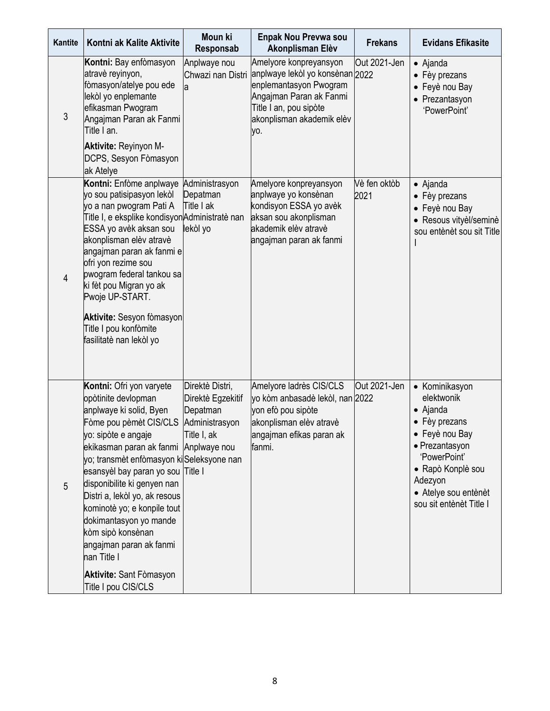| Kantite        | Kontni ak Kalite Aktivite                                                                                                                                                                                                                                                                                                                                                                                                                                                                               | Moun ki<br>Responsab                                                              | <b>Enpak Nou Prevwa sou</b><br>Akonplisman Elèv                                                                                                                              | <b>Frekans</b>       | <b>Evidans Efikasite</b>                                                                                                                                                                                 |
|----------------|---------------------------------------------------------------------------------------------------------------------------------------------------------------------------------------------------------------------------------------------------------------------------------------------------------------------------------------------------------------------------------------------------------------------------------------------------------------------------------------------------------|-----------------------------------------------------------------------------------|------------------------------------------------------------------------------------------------------------------------------------------------------------------------------|----------------------|----------------------------------------------------------------------------------------------------------------------------------------------------------------------------------------------------------|
| 3              | Kontni: Bay enfòmasyon<br>atravè reyinyon,<br>fòmasyon/atelye pou ede<br>lekòl yo enplemante<br>efikasman Pwogram<br>Angajman Paran ak Fanmi<br>Title I an.                                                                                                                                                                                                                                                                                                                                             | Anplwaye nou<br>Chwazi nan Distri<br>a                                            | Amelyore konpreyansyon<br>anplwaye lekòl yo konsènan 2022<br>enplemantasyon Pwogram<br>Angajman Paran ak Fanmi<br>Title I an, pou sipòte<br>akonplisman akademik elèv<br>yo. | Out 2021-Jen         | • Ajanda<br>• Fèy prezans<br>• Feyè nou Bay<br>• Prezantasyon<br>'PowerPoint'                                                                                                                            |
|                | Aktivite: Reyinyon M-<br>DCPS, Sesyon Fòmasyon<br>ak Atelye                                                                                                                                                                                                                                                                                                                                                                                                                                             |                                                                                   |                                                                                                                                                                              |                      |                                                                                                                                                                                                          |
| $\overline{4}$ | Kontni: Enfòme anplwaye<br>yo sou patisipasyon lekòl<br>yo a nan pwogram Pati A<br>Title I, e eksplike kondisyonAdministratè nan<br>ESSA yo avèk aksan sou<br>akonplisman elèv atravè<br>angajman paran ak fanmi e<br>ofri yon rezime sou<br>pwogram federal tankou sa<br>ki fèt pou Migran yo ak<br>Pwoje UP-START.<br>Aktivite: Sesyon fòmasyon<br>Title I pou konfòmite<br>fasilitatè nan lekòl yo                                                                                                   | Administrasyon<br>Depatman<br>Title I ak<br>lekòl yo                              | Amelyore konpreyansyon<br>anplwaye yo konsènan<br>kondisyon ESSA yo avèk<br>aksan sou akonplisman<br>akademik elèv atravè<br>angajman paran ak fanmi                         | Vè fen oktòb<br>2021 | • Ajanda<br>• Fèy prezans<br>• Feyè nou Bay<br>• Resous vityèl/seminè<br>sou entènèt sou sit Title                                                                                                       |
| 5              | Kontni: Ofri yon varyete<br>opòtinite devlopman<br>anplwaye ki solid, Byen<br>Fòme pou pèmèt CIS/CLS<br>yo: sipòte e angaje<br>ekikasman paran ak fanmi Anplwaye nou<br>yo; transmèt enfòmasyon ki Seleksyone nan<br>esansyèl bay paran yo sou Title I<br>disponibilite ki genyen nan<br>Distri a, lekòl yo, ak resous<br>kominotè yo; e konpile tout<br>dokimantasyon yo mande<br>kòm sipò konsènan<br>angajman paran ak fanmi<br>nan Title I<br><b>Aktivite: Sant Fomasyon</b><br>Title I pou CIS/CLS | Direktè Distri,<br>Direktè Egzekitif<br>Depatman<br>Administrasyon<br>Title I, ak | Amelyore ladrès CIS/CLS<br>yo kòm anbasadè lekòl, nan 2022<br>yon efò pou sipòte<br>akonplisman elèv atravè<br>angajman efikas paran ak<br>fanmi.                            | Out 2021-Jen         | • Kominikasyon<br>elektwonik<br>$\bullet$ Ajanda<br>• Fèy prezans<br>• Feyè nou Bay<br>• Prezantasyon<br>'PowerPoint'<br>• Rapò Konplè sou<br>Adezyon<br>• Atelye sou entènèt<br>sou sit entènèt Title I |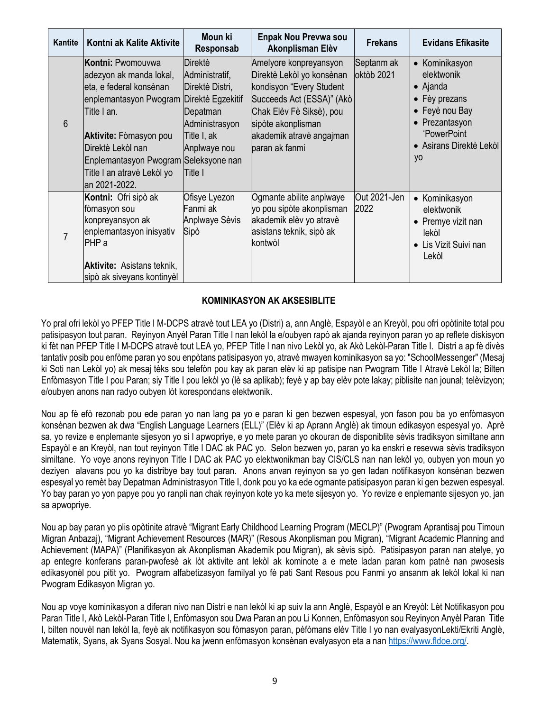| Kantite | Kontni ak Kalite Aktivite                                                                                                                                                                                                                                      | Moun ki<br>Responsab                                                                                                                      | <b>Enpak Nou Prevwa sou</b><br>Akonplisman Elèv                                                                                                                                                              | <b>Frekans</b>           | <b>Evidans Efikasite</b>                                                                                                                                              |
|---------|----------------------------------------------------------------------------------------------------------------------------------------------------------------------------------------------------------------------------------------------------------------|-------------------------------------------------------------------------------------------------------------------------------------------|--------------------------------------------------------------------------------------------------------------------------------------------------------------------------------------------------------------|--------------------------|-----------------------------------------------------------------------------------------------------------------------------------------------------------------------|
| 6       | Kontni: Pwomouywa<br>adezyon ak manda lokal,<br>eta, e federal konsènan<br>enplemantasyon Pwogram<br>Title I an.<br><b>Aktivite:</b> Fòmasyon pou<br>Direktè Lekòl nan<br>Enplemantasyon Pwogram Seleksyone nan<br>Title I an atravè Lekòl yo<br>an 2021-2022. | Direktè<br>Administratif,<br>Direktè Distri,<br>Direktè Egzekitif<br>Depatman<br>Administrasyon<br>Title I, ak<br>Anplwaye nou<br>Title I | Amelyore konpreyansyon<br>Direktè Lekòl yo konsènan<br>kondisyon "Every Student<br>Succeeds Act (ESSA)" (Akò<br>Chak Elèv Fè Siksè), pou<br>sipòte akonplisman<br>akademik atravè angajman<br>paran ak fanmi | Septanm ak<br>oktòb 2021 | Kominikasyon<br>$\bullet$<br>elektwonik<br>$\bullet$ Ajanda<br>• Fèy prezans<br>• Feyè nou Bay<br>Prezantasyon<br>'PowerPoint<br>• Asirans Direktè Lekòl<br><b>yo</b> |
|         | Kontni: Ofri sipò ak<br>fòmasyon sou<br>konpreyansyon ak<br>enplemantasyon inisyativ<br>PHP <sub>a</sub><br><b>Aktivite:</b> Asistans teknik,<br>sipò ak siveyans kontinyèl                                                                                    | Ofisye Lyezon<br>Fanmi ak<br>Anplwaye Sèvis<br>Sipò                                                                                       | Ogmante abilite anplwaye<br>yo pou sipòte akonplisman<br>akademik elèv yo atravè<br>asistans teknik, sipò ak<br>kontwòl                                                                                      | Out 2021-Jen<br>2022     | Kominikasyon<br>$\bullet$<br>elektwonik<br>Premye vizit nan<br>$\bullet$<br>lekòl<br>Lis Vizit Suivi nan<br>Lekòl                                                     |

#### **KOMINIKASYON AK AKSESIBLITE**

Yo pral ofri lekòl yo PFEP Title I M-DCPS atravè tout LEA yo (Distri) a, ann Anglè, Espayòl e an Kreyòl, pou ofri opòtinite total pou patisipasyon tout paran. Reyinyon Anyèl Paran Title I nan lekòl la e/oubyen rapò ak ajanda reyinyon paran yo ap reflete diskisyon ki fèt nan PFEP Title I M-DCPS atravè tout LEA yo, PFEP Title I nan nivo Lekòl yo, ak Akò Lekòl-Paran Title I. Distri a ap fè divès tantativ posib pou enfòme paran yo sou enpòtans patisipasyon yo, atravè mwayen kominikasyon sa yo: "SchoolMessenger" (Mesaj ki Soti nan Lekòl yo) ak mesaj tèks sou telefòn pou kay ak paran elèv ki ap patisipe nan Pwogram Title I Atravè Lekòl la; Bilten Enfòmasyon Title I pou Paran; siy Title I pou lekòl yo (lè sa aplikab); feyè y ap bay elèv pote lakay; piblisite nan jounal; telèvizyon; e/oubyen anons nan radyo oubyen lòt korespondans elektwonik.

Nou ap fè efò rezonab pou ede paran yo nan lang pa yo e paran ki gen bezwen espesyal, yon fason pou ba yo enfòmasyon konsènan bezwen ak dwa "English Language Learners (ELL)" (Elèv ki ap Aprann Anglè) ak timoun edikasyon espesyal yo. Aprè sa, yo revize e enplemante sijesyon yo si l apwopriye, e yo mete paran yo okouran de disponiblite sèvis tradiksyon similtane ann Espayòl e an Kreyòl, nan tout reyinyon Title I DAC ak PAC yo. Selon bezwen yo, paran yo ka enskri e resevwa sèvis tradiksyon similtane. Yo voye anons reyinyon Title I DAC ak PAC yo elektwonikman bay CIS/CLS nan nan lekòl yo, oubyen yon moun yo deziyen alavans pou yo ka distribye bay tout paran. Anons anvan reyinyon sa yo gen ladan notifikasyon konsènan bezwen espesyal yo remèt bay Depatman Administrasyon Title I, donk pou yo ka ede ogmante patisipasyon paran ki gen bezwen espesyal. Yo bay paran yo yon papye pou yo ranpli nan chak reyinyon kote yo ka mete sijesyon yo. Yo revize e enplemante sijesyon yo, jan sa apwopriye.

Nou ap bay paran yo plis opòtinite atravè "Migrant Early Childhood Learning Program (MECLP)" (Pwogram Aprantisaj pou Timoun Migran Anbazaj), "Migrant Achievement Resources (MAR)" (Resous Akonplisman pou Migran), "Migrant Academic Planning and Achievement (MAPA)" (Planifikasyon ak Akonplisman Akademik pou Migran), ak sèvis sipò. Patisipasyon paran nan atelye, yo ap entegre konferans paran-pwofesè ak lòt aktivite ant lekòl ak kominote a e mete ladan paran kom patnè nan pwosesis edikasyonèl pou pitit yo. Pwogram alfabetizasyon familyal yo fè pati Sant Resous pou Fanmi yo ansanm ak lekòl lokal ki nan Pwogram Edikasyon Migran yo.

Nou ap voye kominikasyon a diferan nivo nan Distri e nan lekòl ki ap suiv la ann Anglè, Espayòl e an Kreyòl: Lèt Notifikasyon pou Paran Title I, Akò Lekòl-Paran Title I, Enfòmasyon sou Dwa Paran an pou Li Konnen, Enfòmasyon sou Reyinyon Anyèl Paran Title I, bilten nouvèl nan lekòl la, feyè ak notifikasyon sou fòmasyon paran, pèfòmans elèv Title I yo nan evalyasyonLekti/Ekriti Anglè, Matematik, Syans, ak Syans Sosyal. Nou ka jwenn enfòmasyon konsènan evalyasyon eta a na[n https://www.fldoe.org/.](https://www.fldoe.org/)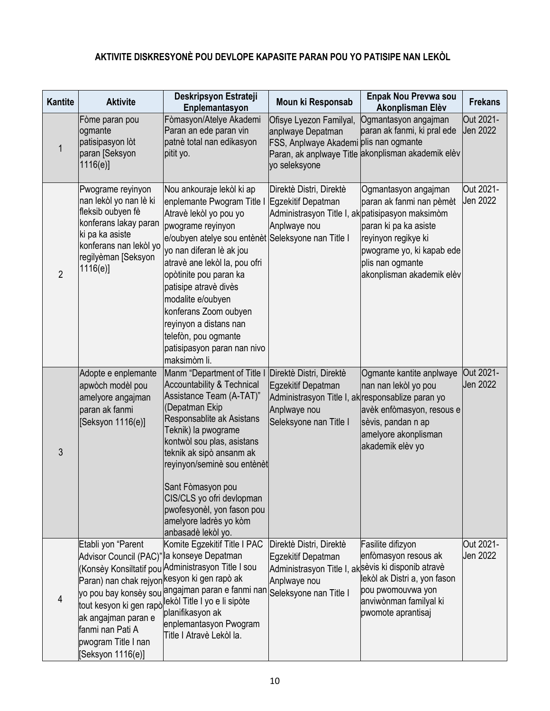# **AKTIVITE DISKRESYONÈ POU DEVLOPE KAPASITE PARAN POU YO PATISIPE NAN LEKÒL**

| <b>Kantite</b> | <b>Aktivite</b>                                                                                                                                                                                  | Deskripsyon Estrateji<br>Enplemantasyon                                                                                                                                                                                                                                                                                                                                                                                     | Moun ki Responsab                                                                                                                            | Enpak Nou Prevwa sou<br>Akonplisman Elèv                                                                                                                                       | <b>Frekans</b>        |
|----------------|--------------------------------------------------------------------------------------------------------------------------------------------------------------------------------------------------|-----------------------------------------------------------------------------------------------------------------------------------------------------------------------------------------------------------------------------------------------------------------------------------------------------------------------------------------------------------------------------------------------------------------------------|----------------------------------------------------------------------------------------------------------------------------------------------|--------------------------------------------------------------------------------------------------------------------------------------------------------------------------------|-----------------------|
| 1              | Fòme paran pou<br>ogmante<br>patisipasyon lòt<br>paran [Seksyon<br>1116(e)                                                                                                                       | Fòmasyon/Atelye Akademi<br>Paran an ede paran vin<br>patnè total nan edikasyon<br>pitit yo.                                                                                                                                                                                                                                                                                                                                 | Ofisye Lyezon Familyal,<br>anplwaye Depatman<br>FSS, Anplwaye Akademi plis nan ogmante<br>yo seleksyone                                      | Ogmantasyon angajman<br>paran ak fanmi, ki pral ede<br>Paran, ak anplwaye Title akonplisman akademik elèv                                                                      | Out 2021-<br>Jen 2022 |
| $\overline{2}$ | Pwograme reyinyon<br>nan lekòl yo nan lè ki<br>fleksib oubyen fè<br>konferans lakay paran<br>ki pa ka asiste<br>konferans nan lekòl yo<br>regilyèman [Seksyon<br>1116(e)                         | Nou ankouraje lekòl ki ap<br>enplemante Pwogram Title I<br>Atravè lekòl yo pou yo<br>pwograme reyinyon<br>e/oubyen atelye sou entènèt Seleksyone nan Title I<br>yo nan diferan lè ak jou<br>atravè ane lekòl la, pou ofri<br>opòtinite pou paran ka<br>patisipe atravè divès<br>modalite e/oubyen<br>konferans Zoom oubyen<br>reyinyon a distans nan<br>telefòn, pou ogmante<br>patisipasyon paran nan nivo<br>maksimòm li. | Direktè Distri, Direktè<br>Egzekitif Depatman<br>Administrasyon Title I, ak patisipasyon maksimòm<br>Anplwaye nou                            | Ogmantasyon angajman<br>paran ak fanmi nan pèmèt<br>paran ki pa ka asiste<br>reyinyon regikye ki<br>pwograme yo, ki kapab ede<br>plis nan ogmante<br>akonplisman akademik elèv | Out 2021-<br>Jen 2022 |
| 3              | Adopte e enplemante<br>apwòch modèl pou<br>amelyore angajman<br>paran ak fanmi<br>[Seksyon 1116(e)]                                                                                              | Manm "Department of Title I<br><b>Accountability &amp; Technical</b><br>Assistance Team (A-TAT)"<br>(Depatman Ekip<br>Responsablite ak Asistans<br>Teknik) la pwograme<br>kontwòl sou plas, asistans<br>teknik ak sipò ansanm ak<br>reyinyon/seminè sou entènèt<br>Sant Fòmasyon pou<br>CIS/CLS yo ofri devlopman<br>pwofesyonèl, yon fason pou<br>amelyore ladrès yo kòm<br>anbasadè lekòl yo.                             | Direktè Distri, Direktè<br>Egzekitif Depatman<br>Administrasyon Title I, ak responsablize paran yo<br>Anplwaye nou<br>Seleksyone nan Title I | Ogmante kantite anplwaye<br>nan nan lekòl yo pou<br>avèk enfòmasyon, resous e<br>sèvis, pandan n ap<br>amelyore akonplisman<br>akademik elèv yo                                | Out 2021-<br>Jen 2022 |
| 4              | Etabli yon "Parent<br>Advisor Council (PAC)"<br>Paran) nan chak rejyon <mark>kesyon ki gen rapò ak</mark><br>ak angajman paran e<br>fanmi nan Pati A<br>pwogram Title I nan<br>[Seksyon 1116(e)] | Komite Egzekitif Title I PAC<br>la konseye Depatman<br>(Konsèy Konsiltatif pou Administrasyon Title I sou<br>yo pou bay konsèy sou angajman paran e fanmi nan Seleksyone nan Title I<br>tout kesyon ki gen rapò <sup>llekòl</sup> Title I yo e li sipòte<br>planifikasyon ak<br>enplemantasyon Pwogram<br>Title I Atravè Lekòl la.                                                                                          | Direktè Distri, Direktè<br>Egzekitif Depatman<br>Administrasyon Title I, aksèvis ki disponib atravè<br>Anplwaye nou                          | Fasilite difizyon<br>enfòmasyon resous ak<br>lekòl ak Distri a, yon fason<br>pou pwomouvwa yon<br>anviwònman familyal ki<br>pwomote aprantisaj                                 | Out 2021-<br>Jen 2022 |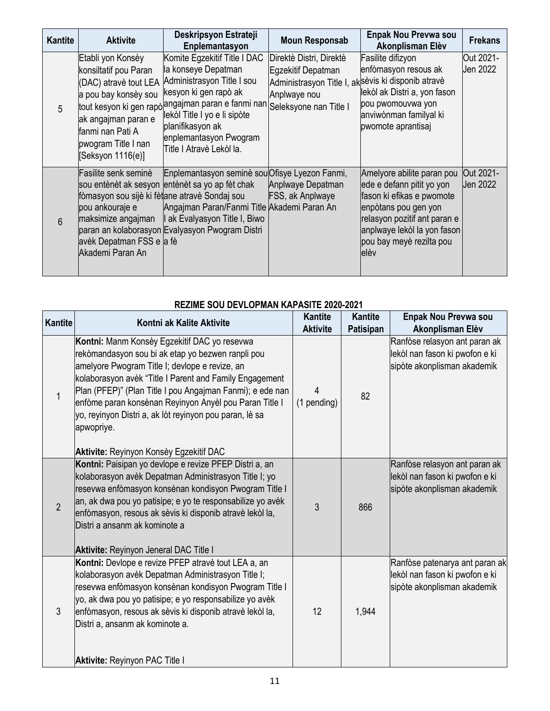| <b>Kantite</b> | <b>Aktivite</b>                                                                                                                                                                   | Deskripsyon Estrateji<br>Enplemantasyon                                                                                                                                                                                                                                                | <b>Moun Responsab</b>                                                                                                                         | Enpak Nou Prevwa sou<br>Akonplisman Elèv                                                                                                                                                                         | <b>Frekans</b>        |
|----------------|-----------------------------------------------------------------------------------------------------------------------------------------------------------------------------------|----------------------------------------------------------------------------------------------------------------------------------------------------------------------------------------------------------------------------------------------------------------------------------------|-----------------------------------------------------------------------------------------------------------------------------------------------|------------------------------------------------------------------------------------------------------------------------------------------------------------------------------------------------------------------|-----------------------|
| 5              | Etabli yon Konsèy<br>konsiltatif pou Paran<br>(DAC) atravè tout LEA<br>a pou bay konsèy sou<br>ak angajman paran e<br>fanmi nan Pati A<br>pwogram Title I nan<br>Seksyon 1116(e)] | Komite Egzekitif Title I DAC<br>la konseye Depatman<br>Administrasyon Title I sou<br>kesyon ki gen rapò ak<br>tout kesyon ki gen rapò <sup>langajman paran e fanmi nan</sup><br>lekòl Title I yo e li sipòte<br>planifikasyon ak<br>enplemantasyon Pwogram<br>Title I Atravè Lekòl la. | Direktè Distri, Direktè<br>Egzekitif Depatman<br>Administrasyon Title I, aksèvis ki disponib atravè<br>Anplwaye nou<br>Seleksyone nan Title I | Fasilite difizyon<br>enfòmasyon resous ak<br>lekòl ak Distri a, yon fason<br>pou pwomouvwa yon<br>anviwònman familyal ki<br>pwomote aprantisaj                                                                   | Out 2021-<br>Jen 2022 |
| 6              | Fasilite senk seminè<br>fòmasyon sou sijè ki fètane atravè Sondaj sou<br>pou ankouraje e<br>maksimize angajman<br>avèk Depatman FSS e a fè<br>Akademi Paran An                    | Enplemantasyon seminè sou Ofisye Lyezon Fanmi,<br>sou entènèt ak sesyon entènèt sa yo ap fèt chak<br>Angajman Paran/Fanmi Title Akademi Paran An<br>I ak Evalyasyon Title I, Biwo<br>paran an kolaborasyon Evalyasyon Pwogram Distri                                                   | Anplwaye Depatman<br>FSS, ak Anplwaye                                                                                                         | Amelyore abilite paran pou<br>ede e defann pitit yo yon<br>fason ki efikas e pwomote<br>enpòtans pou gen yon<br>relasyon pozitif ant paran e<br>anplwaye lekòl la yon fason<br>pou bay meyè rezilta pou<br>lelèv | Out 2021-<br>Jen 2022 |

#### **REZIME SOU DEVLOPMAN KAPASITE 2020-2021**

| <b>Kantite</b> | Kontni ak Kalite Aktivite                                                                                                                                                                                                                                                                                                                                                                                                                                 | <b>Kantite</b><br><b>Aktivite</b> | <b>Kantite</b><br>Patisipan | Enpak Nou Prevwa sou<br>Akonplisman Elèv                                                        |
|----------------|-----------------------------------------------------------------------------------------------------------------------------------------------------------------------------------------------------------------------------------------------------------------------------------------------------------------------------------------------------------------------------------------------------------------------------------------------------------|-----------------------------------|-----------------------------|-------------------------------------------------------------------------------------------------|
| $\mathbf{1}$   | Kontni: Manm Konsèy Egzekitif DAC yo resevwa<br>rekòmandasyon sou bi ak etap yo bezwen ranpli pou<br>amelyore Pwogram Title I; devlope e revize, an<br>kolaborasyon avèk "Title I Parent and Family Engagement<br>Plan (PFEP)" (Plan Title I pou Angajman Fanmi); e ede nan<br>enfòme paran konsènan Reyinyon Anyèl pou Paran Title I<br>yo, reyinyon Distri a, ak lòt reyinyon pou paran, lè sa<br>apwopriye.<br>Aktivite: Reyinyon Konsèy Egzekitif DAC | 4<br>(1 pending)                  | 82                          | Ranfòse relasyon ant paran ak<br>lekòl nan fason ki pwofon e ki<br>sipòte akonplisman akademik  |
| $\overline{2}$ | Kontni: Paisipan yo devlope e revize PFEP Distri a, an<br>kolaborasyon avèk Depatman Administrasyon Title I; yo<br>resevwa enfòmasyon konsènan kondisyon Pwogram Title I<br>an, ak dwa pou yo patisipe; e yo te responsabilize yo avèk<br>enfòmasyon, resous ak sèvis ki disponib atravè lekòl la,<br>Distri a ansanm ak kominote a<br><b>Aktivite: Reyinyon Jeneral DAC Title I</b>                                                                      | 3                                 | 866                         | Ranfòse relasyon ant paran ak<br>lekòl nan fason ki pwofon e ki<br>sipòte akonplisman akademik  |
| 3              | Kontni: Devlope e revize PFEP atravè tout LEA a, an<br>kolaborasyon avèk Depatman Administrasyon Title I;<br>resevwa enfòmasyon konsènan kondisyon Pwogram Title I<br>yo, ak dwa pou yo patisipe; e yo responsabilize yo avèk<br>enfòmasyon, resous ak sèvis ki disponib atravè lekòl la,<br>Distri a, ansanm ak kominote a.<br><b>Aktivite: Reyinyon PAC Title I</b>                                                                                     | 12                                | 1,944                       | Ranfòse patenarya ant paran ak<br>lekòl nan fason ki pwofon e ki<br>sipòte akonplisman akademik |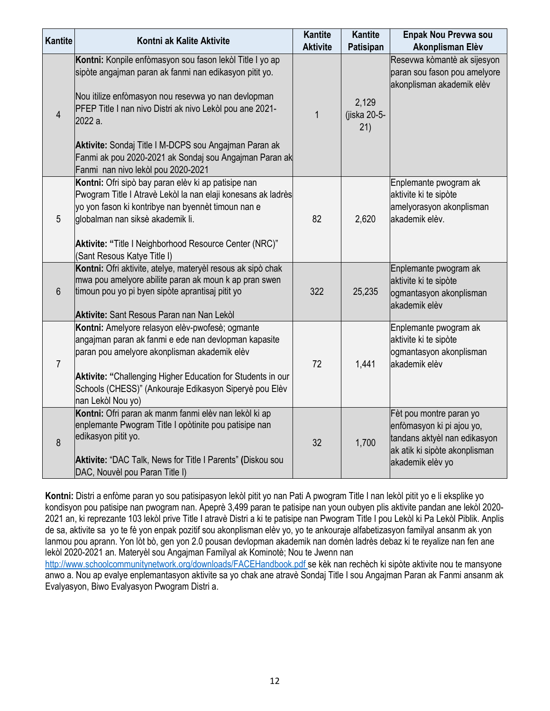| Kantite          | Kontni ak Kalite Aktivite                                                                                                                                                                                                                                                                                                                                                                                 | <b>Kantite</b><br><b>Aktivite</b> | <b>Kantite</b><br>Patisipan  | Enpak Nou Prevwa sou<br>Akonplisman Elèv                                                                                                  |
|------------------|-----------------------------------------------------------------------------------------------------------------------------------------------------------------------------------------------------------------------------------------------------------------------------------------------------------------------------------------------------------------------------------------------------------|-----------------------------------|------------------------------|-------------------------------------------------------------------------------------------------------------------------------------------|
| $\overline{4}$   | Kontni: Konpile enfòmasyon sou fason lekòl Title I yo ap<br>sipòte angajman paran ak fanmi nan edikasyon pitit yo.<br>Nou itilize enfòmasyon nou resevwa yo nan devlopman<br>PFEP Title I nan nivo Distri ak nivo Lekòl pou ane 2021-<br>2022 a.<br>Aktivite: Sondaj Title I M-DCPS sou Angajman Paran ak<br>Fanmi ak pou 2020-2021 ak Sondaj sou Angajman Paran ak<br>Fanmi nan nivo lekòl pou 2020-2021 | $\mathbf{1}$                      | 2,129<br>(jiska 20-5-<br>21) | Resevwa kòmantè ak sijesyon<br>paran sou fason pou amelyore<br>akonplisman akademik elèv                                                  |
| $\overline{5}$   | Kontni: Ofri sipò bay paran elèv ki ap patisipe nan<br>Pwogram Title I Atravè Lekòl la nan elaji konesans ak ladrès<br>yo yon fason ki kontribye nan byennèt timoun nan e<br>globalman nan siksè akademik li.<br>Aktivite: "Title I Neighborhood Resource Center (NRC)"<br>(Sant Resous Katye Title I)                                                                                                    | 82                                | 2,620                        | Enplemante pwogram ak<br>aktivite ki te sipòte<br>amelyorasyon akonplisman<br>akademik elèv.                                              |
| $6\phantom{1}$   | Kontni: Ofri aktivite, atelye, materyèl resous ak sipò chak<br>mwa pou amelyore abilite paran ak moun k ap pran swen<br>timoun pou yo pi byen sipòte aprantisaj pitit yo<br><b>Aktivite: Sant Resous Paran nan Nan Lekol</b>                                                                                                                                                                              | 322                               | 25,235                       | Enplemante pwogram ak<br>aktivite ki te sipòte<br>ogmantasyon akonplisman<br>lakademik elèv                                               |
| $\overline{7}$   | Kontni: Amelyore relasyon elèv-pwofesè; ogmante<br>angajman paran ak fanmi e ede nan devlopman kapasite<br>paran pou amelyore akonplisman akademik elèv<br>Aktivite: "Challenging Higher Education for Students in our<br>Schools (CHESS)" (Ankouraje Edikasyon Siperyè pou Elèv<br>nan Lekòl Nou yo)                                                                                                     | 72                                | 1,441                        | Enplemante pwogram ak<br>aktivite ki te sipòte<br>ogmantasyon akonplisman<br>akademik elèv                                                |
| $\boldsymbol{8}$ | Kontni: Ofri paran ak manm fanmi elèv nan lekòl ki ap<br>enplemante Pwogram Title I opòtinite pou patisipe nan<br>edikasyon pitit yo.<br>Aktivite: "DAC Talk, News for Title I Parents" (Diskou sou<br>DAC, Nouvèl pou Paran Title I)                                                                                                                                                                     | 32                                | 1,700                        | Fèt pou montre paran yo<br>enfòmasyon ki pi ajou yo,<br>tandans aktyèl nan edikasyon<br>ak atik ki sipòte akonplisman<br>akademik elèv yo |

**Kontni:** Distri a enfòme paran yo sou patisipasyon lekòl pitit yo nan Pati A pwogram Title I nan lekòl pitit yo e li eksplike yo kondisyon pou patisipe nan pwogram nan. Apeprè 3,499 paran te patisipe nan youn oubyen plis aktivite pandan ane lekòl 2020- 2021 an, ki reprezante 103 lekòl prive Title I atravè Distri a ki te patisipe nan Pwogram Title I pou Lekòl ki Pa Lekòl Piblik. Anplis de sa, aktivite sa yo te fè yon enpak pozitif sou akonplisman elèv yo, yo te ankouraje alfabetizasyon familyal ansanm ak yon lanmou pou aprann. Yon lòt bò, gen yon 2.0 pousan devlopman akademik nan domèn ladrès debaz ki te reyalize nan fen ane lekòl 2020-2021 an. Materyèl sou Angajman Familyal ak Kominotè; Nou te Jwenn nan

<http://www.schoolcommunitynetwork.org/downloads/FACEHandbook.pdf> se kèk nan rechèch ki sipòte aktivite nou te mansyone anwo a. Nou ap evalye enplemantasyon aktivite sa yo chak ane atravè Sondaj Title I sou Angajman Paran ak Fanmi ansanm ak Evalyasyon, Biwo Evalyasyon Pwogram Distri a.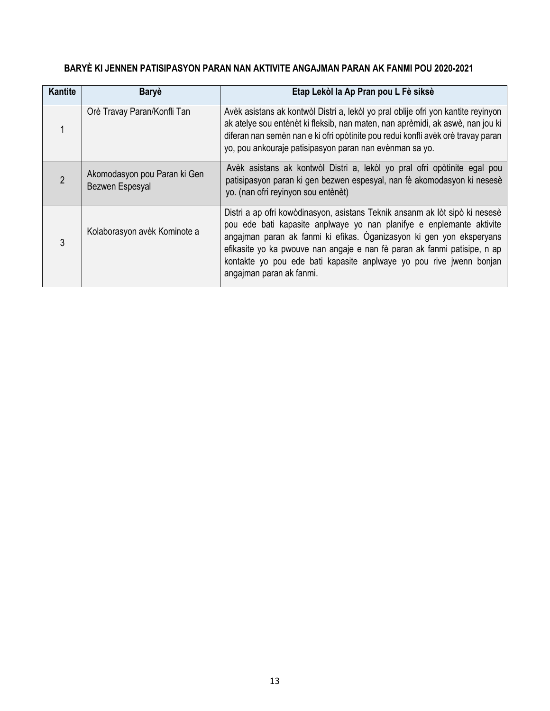## **BARYÈ KI JENNEN PATISIPASYON PARAN NAN AKTIVITE ANGAJMAN PARAN AK FANMI POU 2020-2021**

| <b>Kantite</b> | <b>Baryè</b>                                    | Etap Lekòl la Ap Pran pou L Fè siksè                                                                                                                                                                                                                                                                                                                                                                       |
|----------------|-------------------------------------------------|------------------------------------------------------------------------------------------------------------------------------------------------------------------------------------------------------------------------------------------------------------------------------------------------------------------------------------------------------------------------------------------------------------|
|                | Orè Travay Paran/Konfli Tan                     | Avèk asistans ak kontwòl Distri a, lekòl yo pral oblije ofri yon kantite reyinyon<br>ak atelye sou entènèt ki fleksib, nan maten, nan aprèmidi, ak aswè, nan jou ki<br>diferan nan semèn nan e ki ofri opòtinite pou redui konfli avèk orè travay paran<br>yo, pou ankouraje patisipasyon paran nan evènman sa yo.                                                                                         |
|                | Akomodasyon pou Paran ki Gen<br>Bezwen Espesyal | Avèk asistans ak kontwòl Distri a, lekòl yo pral ofri opòtinite egal pou<br>patisipasyon paran ki gen bezwen espesyal, nan fè akomodasyon ki nesesè<br>yo. (nan ofri reyinyon sou entènèt)                                                                                                                                                                                                                 |
| 3              | Kolaborasyon avèk Kominote a                    | Distri a ap ofri kowòdinasyon, asistans Teknik ansanm ak lòt sipò ki nesesè<br>pou ede bati kapasite anplwaye yo nan planifye e enplemante aktivite<br>angajman paran ak fanmi ki efikas. Oganizasyon ki gen yon eksperyans<br>efikasite yo ka pwouve nan angaje e nan fè paran ak fanmi patisipe, n ap<br>kontakte yo pou ede bati kapasite anplwaye yo pou rive jwenn bonjan<br>angajman paran ak fanmi. |